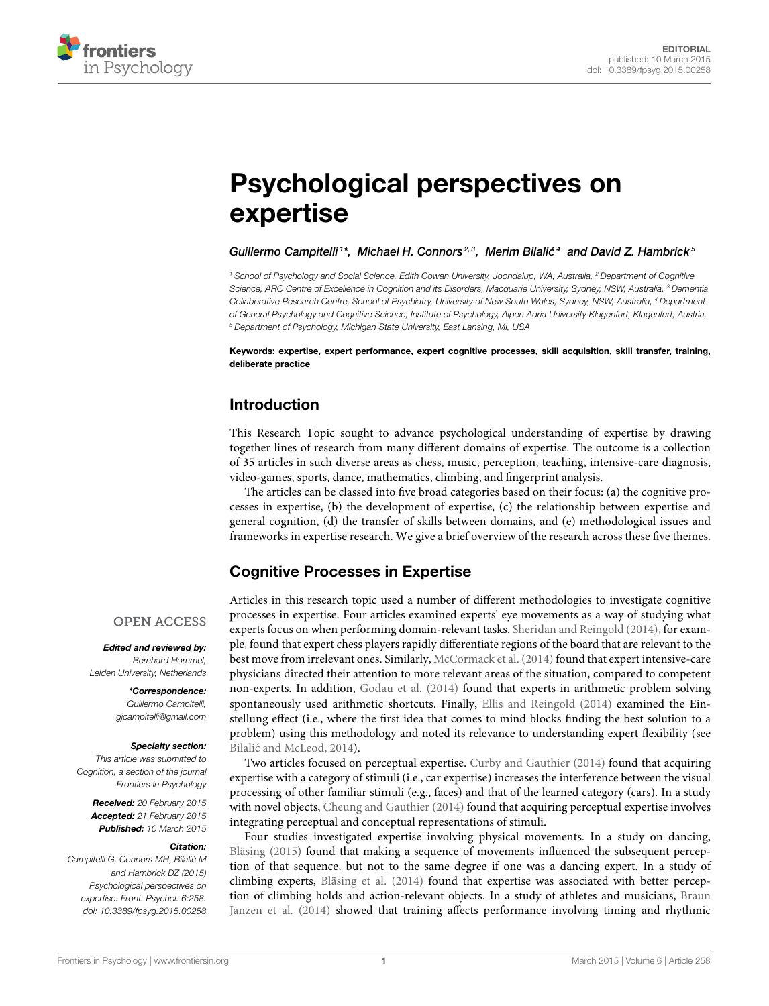

# [Psychological perspectives on](http://www.frontiersin.org/journal/10.3389/fpsyg.2015.00258/abstract) expertise

[Guillermo Campitelli](http://community.frontiersin.org/people/u/31638)<sup>1\*</sup>, [Michael H. Connors](http://community.frontiersin.org/people/u/94765)<sup>2,3</sup>, Merim Bilalić<sup>4</sup> and [David Z. Hambrick](http://community.frontiersin.org/people/u/94880)<sup>5</sup>

*<sup>1</sup> School of Psychology and Social Science, Edith Cowan University, Joondalup, WA, Australia, <sup>2</sup> Department of Cognitive Science, ARC Centre of Excellence in Cognition and its Disorders, Macquarie University, Sydney, NSW, Australia, <sup>3</sup> Dementia Collaborative Research Centre, School of Psychiatry, University of New South Wales, Sydney, NSW, Australia, <sup>4</sup> Department of General Psychology and Cognitive Science, Institute of Psychology, Alpen Adria University Klagenfurt, Klagenfurt, Austria, <sup>5</sup> Department of Psychology, Michigan State University, East Lansing, MI, USA*

Keywords: expertise, expert performance, expert cognitive processes, skill acquisition, skill transfer, training, deliberate practice

#### Introduction

This Research Topic sought to advance psychological understanding of expertise by drawing together lines of research from many different domains of expertise. The outcome is a collection of 35 articles in such diverse areas as chess, music, perception, teaching, intensive-care diagnosis, video-games, sports, dance, mathematics, climbing, and fingerprint analysis.

The articles can be classed into five broad categories based on their focus: (a) the cognitive processes in expertise, (b) the development of expertise, (c) the relationship between expertise and general cognition, (d) the transfer of skills between domains, and (e) methodological issues and frameworks in expertise research. We give a brief overview of the research across these five themes.

#### Cognitive Processes in Expertise

#### **OPEN ACCESS**

Edited and reviewed by: *Bernhard Hommel, Leiden University, Netherlands*

\*Correspondence: *Guillermo Campitelli,*

*[gjcampitelli@gmail.com](mailto:gjcampitelli@gmail.com)*

#### Specialty section:

*This article was submitted to Cognition, a section of the journal Frontiers in Psychology*

Received: *20 February 2015* Accepted: *21 February 2015* Published: *10 March 2015*

#### Citation:

*Campitelli G, Connors MH, Bilalic M´ and Hambrick DZ (2015) Psychological perspectives on expertise. Front. Psychol. 6:258. doi: [10.3389/fpsyg.2015.00258](http://dx.doi.org/10.3389/fpsyg.2015.00258)*

Articles in this research topic used a number of different methodologies to investigate cognitive processes in expertise. Four articles examined experts' eye movements as a way of studying what experts focus on when performing domain-relevant tasks. [Sheridan and Reingold \(2014\)](#page-2-0), for example, found that expert chess players rapidly differentiate regions of the board that are relevant to the best move from irrelevant ones. Similarly, [McCormack et al. \(2014\)](#page-2-1) found that expert intensive-care physicians directed their attention to more relevant areas of the situation, compared to competent non-experts. In addition, [Godau et al. \(2014\)](#page-2-2) found that experts in arithmetic problem solving spontaneously used arithmetic shortcuts. Finally, [Ellis and Reingold \(2014\)](#page-2-3) examined the Einstellung effect (i.e., where the first idea that comes to mind blocks finding the best solution to a problem) using this methodology and noted its relevance to understanding expert flexibility (see Bilalić [and McLeod, 2014\)](#page-2-4).

Two articles focused on perceptual expertise. [Curby and Gauthier \(2014\)](#page-2-5) found that acquiring expertise with a category of stimuli (i.e., car expertise) increases the interference between the visual processing of other familiar stimuli (e.g., faces) and that of the learned category (cars). In a study with novel objects, [Cheung and Gauthier \(2014\)](#page-2-6) found that acquiring perceptual expertise involves integrating perceptual and conceptual representations of stimuli.

Four studies investigated expertise involving physical movements. In a study on dancing, [Bläsing \(2015\)](#page-2-7) found that making a sequence of movements influenced the subsequent perception of that sequence, but not to the same degree if one was a dancing expert. In a study of climbing experts, [Bläsing et al. \(2014\)](#page-2-8) found that expertise was associated with better perception of climbing holds and action-relevant objects. In a study of athletes and musicians, Braun Janzen et al. [\(2014\)](#page-2-9) showed that training affects performance involving timing and rhythmic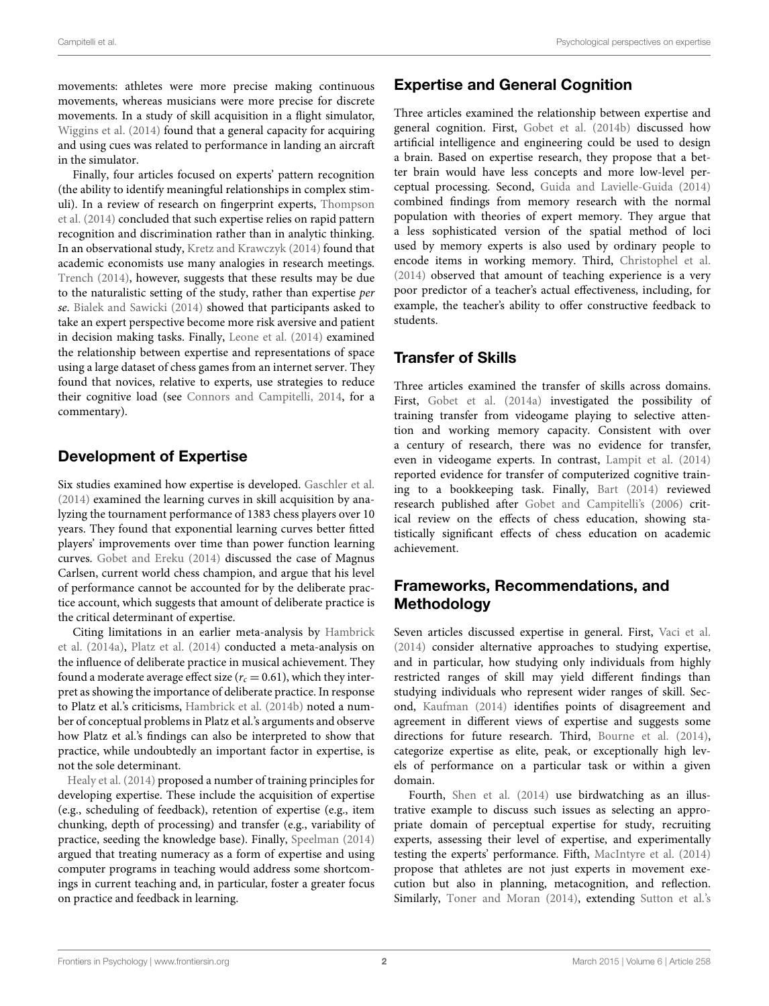movements: athletes were more precise making continuous movements, whereas musicians were more precise for discrete movements. In a study of skill acquisition in a flight simulator, [Wiggins et al. \(2014\)](#page-3-0) found that a general capacity for acquiring and using cues was related to performance in landing an aircraft in the simulator.

Finally, four articles focused on experts' pattern recognition (the ability to identify meaningful relationships in complex stimuli). In a review of research on fingerprint experts, Thompson et al. [\(2014\)](#page-3-1) concluded that such expertise relies on rapid pattern recognition and discrimination rather than in analytic thinking. In an observational study, [Kretz and Krawczyk \(2014\)](#page-2-10) found that academic economists use many analogies in research meetings. [Trench \(2014\)](#page-3-2), however, suggests that these results may be due to the naturalistic setting of the study, rather than expertise per se. [Bialek and Sawicki \(2014\)](#page-2-11) showed that participants asked to take an expert perspective become more risk aversive and patient in decision making tasks. Finally, [Leone et al. \(2014\)](#page-2-12) examined the relationship between expertise and representations of space using a large dataset of chess games from an internet server. They found that novices, relative to experts, use strategies to reduce their cognitive load (see [Connors and Campitelli, 2014,](#page-2-13) for a commentary).

### Development of Expertise

Six studies examined how expertise is developed. [Gaschler et al.](#page-2-14) [\(2014\)](#page-2-14) examined the learning curves in skill acquisition by analyzing the tournament performance of 1383 chess players over 10 years. They found that exponential learning curves better fitted players' improvements over time than power function learning curves. [Gobet and Ereku \(2014\)](#page-2-15) discussed the case of Magnus Carlsen, current world chess champion, and argue that his level of performance cannot be accounted for by the deliberate practice account, which suggests that amount of deliberate practice is the critical determinant of expertise.

Citing limitations in an earlier meta-analysis by Hambrick et al. [\(2014a\)](#page-2-16), [Platz et al. \(2014\)](#page-2-17) conducted a meta-analysis on the influence of deliberate practice in musical achievement. They found a moderate average effect size ( $r_c = 0.61$ ), which they interpret as showing the importance of deliberate practice. In response to Platz et al.'s criticisms, [Hambrick et al. \(2014b\)](#page-2-18) noted a number of conceptual problems in Platz et al.'s arguments and observe how Platz et al.'s findings can also be interpreted to show that practice, while undoubtedly an important factor in expertise, is not the sole determinant.

[Healy et al. \(2014\)](#page-2-19) proposed a number of training principles for developing expertise. These include the acquisition of expertise (e.g., scheduling of feedback), retention of expertise (e.g., item chunking, depth of processing) and transfer (e.g., variability of practice, seeding the knowledge base). Finally, [Speelman \(2014\)](#page-2-20) argued that treating numeracy as a form of expertise and using computer programs in teaching would address some shortcomings in current teaching and, in particular, foster a greater focus on practice and feedback in learning.

# Expertise and General Cognition

Three articles examined the relationship between expertise and general cognition. First, [Gobet et al. \(2014b\)](#page-2-21) discussed how artificial intelligence and engineering could be used to design a brain. Based on expertise research, they propose that a better brain would have less concepts and more low-level perceptual processing. Second, [Guida and Lavielle-Guida \(2014\)](#page-2-22) combined findings from memory research with the normal population with theories of expert memory. They argue that a less sophisticated version of the spatial method of loci used by memory experts is also used by ordinary people to encode items in working memory. Third, [Christophel et al.](#page-2-23) [\(2014\)](#page-2-23) observed that amount of teaching experience is a very poor predictor of a teacher's actual effectiveness, including, for example, the teacher's ability to offer constructive feedback to students.

## Transfer of Skills

Three articles examined the transfer of skills across domains. First, [Gobet et al. \(2014a\)](#page-2-24) investigated the possibility of training transfer from videogame playing to selective attention and working memory capacity. Consistent with over a century of research, there was no evidence for transfer, even in videogame experts. In contrast, [Lampit et al. \(2014\)](#page-2-25) reported evidence for transfer of computerized cognitive training to a bookkeeping task. Finally, [Bart \(2014\)](#page-2-26) reviewed research published after [Gobet and Campitelli's \(2006\)](#page-2-27) critical review on the effects of chess education, showing statistically significant effects of chess education on academic achievement.

## Frameworks, Recommendations, and **Methodology**

Seven articles discussed expertise in general. First, [Vaci et al.](#page-3-3) [\(2014\)](#page-3-3) consider alternative approaches to studying expertise, and in particular, how studying only individuals from highly restricted ranges of skill may yield different findings than studying individuals who represent wider ranges of skill. Second, [Kaufman \(2014\)](#page-2-28) identifies points of disagreement and agreement in different views of expertise and suggests some directions for future research. Third, [Bourne et al. \(2014\)](#page-2-29), categorize expertise as elite, peak, or exceptionally high levels of performance on a particular task or within a given domain.

Fourth, [Shen et al. \(2014\)](#page-2-30) use birdwatching as an illustrative example to discuss such issues as selecting an appropriate domain of perceptual expertise for study, recruiting experts, assessing their level of expertise, and experimentally testing the experts' performance. Fifth, [MacIntyre et al. \(2014\)](#page-2-31) propose that athletes are not just experts in movement execution but also in planning, metacognition, and reflection. Similarly, [Toner and Moran \(2014\)](#page-3-4), extending [Sutton et al.'s](#page-2-32)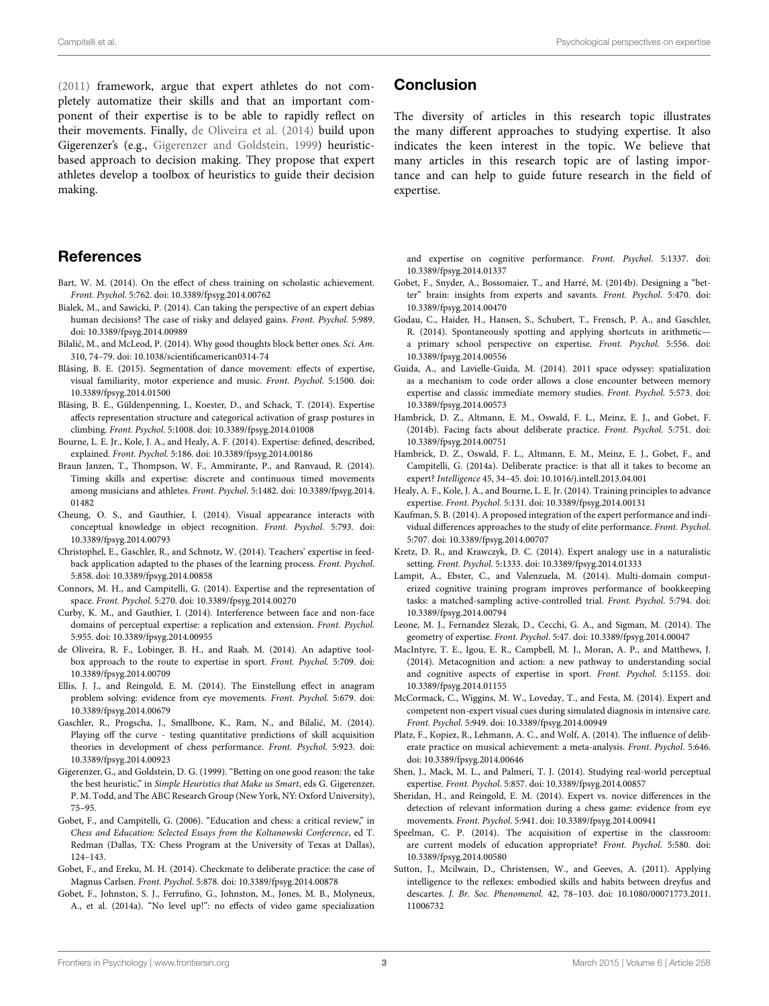[\(2011\)](#page-2-32) framework, argue that expert athletes do not completely automatize their skills and that an important component of their expertise is to be able to rapidly reflect on their movements. Finally, [de Oliveira et al. \(2014\)](#page-2-33) build upon Gigerenzer's (e.g., [Gigerenzer and Goldstein, 1999\)](#page-2-34) heuristicbased approach to decision making. They propose that expert athletes develop a toolbox of heuristics to guide their decision making.

#### **References**

- <span id="page-2-26"></span>Bart, W. M. (2014). On the effect of chess training on scholastic achievement. Front. Psychol. 5:762. doi: 10.3389/fpsyg.2014.00762
- <span id="page-2-11"></span>Bialek, M., and Sawicki, P. (2014). Can taking the perspective of an expert debias human decisions? The case of risky and delayed gains. Front. Psychol. 5:989. doi: 10.3389/fpsyg.2014.00989
- <span id="page-2-4"></span>Bilalić, M., and McLeod, P. (2014). Why good thoughts block better ones. Sci. Am. 310, 74–79. doi: 10.1038/scientificamerican0314-74
- <span id="page-2-7"></span>Bläsing, B. E. (2015). Segmentation of dance movement: effects of expertise, visual familiarity, motor experience and music. Front. Psychol. 5:1500. doi: 10.3389/fpsyg.2014.01500
- <span id="page-2-8"></span>Bläsing, B. E., Güldenpenning, I., Koester, D., and Schack, T. (2014). Expertise affects representation structure and categorical activation of grasp postures in climbing. Front. Psychol. 5:1008. doi: 10.3389/fpsyg.2014.01008
- <span id="page-2-29"></span>Bourne, L. E. Jr., Kole, J. A., and Healy, A. F. (2014). Expertise: defined, described, explained. Front. Psychol. 5:186. doi: 10.3389/fpsyg.2014.00186
- <span id="page-2-9"></span>Braun Janzen, T., Thompson, W. F., Ammirante, P., and Ranvaud, R. (2014). Timing skills and expertise: discrete and continuous timed movements among musicians and athletes. Front. Psychol. 5:1482. doi: 10.3389/fpsyg.2014. 01482
- <span id="page-2-6"></span>Cheung, O. S., and Gauthier, I. (2014). Visual appearance interacts with conceptual knowledge in object recognition. Front. Psychol. 5:793. doi: 10.3389/fpsyg.2014.00793
- <span id="page-2-23"></span>Christophel, E., Gaschler, R., and Schnotz, W. (2014). Teachers' expertise in feedback application adapted to the phases of the learning process. Front. Psychol. 5:858. doi: 10.3389/fpsyg.2014.00858
- <span id="page-2-13"></span>Connors, M. H., and Campitelli, G. (2014). Expertise and the representation of space. Front. Psychol. 5:270. doi: 10.3389/fpsyg.2014.00270
- <span id="page-2-5"></span>Curby, K. M., and Gauthier, I. (2014). Interference between face and non-face domains of perceptual expertise: a replication and extension. Front. Psychol. 5:955. doi: 10.3389/fpsyg.2014.00955
- <span id="page-2-33"></span>de Oliveira, R. F., Lobinger, B. H., and Raab, M. (2014). An adaptive toolbox approach to the route to expertise in sport. Front. Psychol. 5:709. doi: 10.3389/fpsyg.2014.00709
- <span id="page-2-3"></span>Ellis, J. J., and Reingold, E. M. (2014). The Einstellung effect in anagram problem solving: evidence from eye movements. Front. Psychol. 5:679. doi: 10.3389/fpsyg.2014.00679
- <span id="page-2-14"></span>Gaschler, R., Progscha, J., Smallbone, K., Ram, N., and Bilalić, M. (2014). Playing off the curve - testing quantitative predictions of skill acquisition theories in development of chess performance. Front. Psychol. 5:923. doi: 10.3389/fpsyg.2014.00923
- <span id="page-2-34"></span>Gigerenzer, G., and Goldstein, D. G. (1999). "Betting on one good reason: the take the best heuristic," in Simple Heuristics that Make us Smart, eds G. Gigerenzer, P. M. Todd, and The ABC Research Group (New York, NY: Oxford University), 75–95.
- <span id="page-2-27"></span>Gobet, F., and Campitelli, G. (2006). "Education and chess: a critical review," in Chess and Education: Selected Essays from the Koltanowski Conference, ed T. Redman (Dallas, TX: Chess Program at the University of Texas at Dallas), 124–143.
- <span id="page-2-15"></span>Gobet, F., and Ereku, M. H. (2014). Checkmate to deliberate practice: the case of Magnus Carlsen. Front. Psychol. 5:878. doi: 10.3389/fpsyg.2014.00878
- <span id="page-2-24"></span>Gobet, F., Johnston, S. J., Ferrufino, G., Johnston, M., Jones, M. B., Molyneux, A., et al. (2014a). "No level up!": no effects of video game specialization

#### **Conclusion**

The diversity of articles in this research topic illustrates the many different approaches to studying expertise. It also indicates the keen interest in the topic. We believe that many articles in this research topic are of lasting importance and can help to guide future research in the field of expertise.

and expertise on cognitive performance. Front. Psychol. 5:1337. doi: 10.3389/fpsyg.2014.01337

- <span id="page-2-21"></span>Gobet, F., Snyder, A., Bossomaier, T., and Harré, M. (2014b). Designing a "better" brain: insights from experts and savants. Front. Psychol. 5:470. doi: 10.3389/fpsyg.2014.00470
- <span id="page-2-2"></span>Godau, C., Haider, H., Hansen, S., Schubert, T., Frensch, P. A., and Gaschler, R. (2014). Spontaneously spotting and applying shortcuts in arithmetic a primary school perspective on expertise. Front. Psychol. 5:556. doi: 10.3389/fpsyg.2014.00556
- <span id="page-2-22"></span>Guida, A., and Lavielle-Guida, M. (2014). 2011 space odyssey: spatialization as a mechanism to code order allows a close encounter between memory expertise and classic immediate memory studies. Front. Psychol. 5:573. doi: 10.3389/fpsyg.2014.00573
- <span id="page-2-18"></span>Hambrick, D. Z., Altmann, E. M., Oswald, F. L., Meinz, E. J., and Gobet, F. (2014b). Facing facts about deliberate practice. Front. Psychol. 5:751. doi: 10.3389/fpsyg.2014.00751
- <span id="page-2-16"></span>Hambrick, D. Z., Oswald, F. L., Altmann, E. M., Meinz, E. J., Gobet, F., and Campitelli, G. (2014a). Deliberate practice: is that all it takes to become an expert? Intelligence 45, 34–45. doi: 10.1016/j.intell.2013.04.001
- <span id="page-2-19"></span>Healy, A. F., Kole, J. A., and Bourne, L. E. Jr. (2014). Training principles to advance expertise. Front. Psychol. 5:131. doi: 10.3389/fpsyg.2014.00131
- <span id="page-2-28"></span>Kaufman, S. B. (2014). A proposed integration of the expert performance and individual differences approaches to the study of elite performance. Front. Psychol. 5:707. doi: 10.3389/fpsyg.2014.00707
- <span id="page-2-10"></span>Kretz, D. R., and Krawczyk, D. C. (2014). Expert analogy use in a naturalistic setting. Front. Psychol. 5:1333. doi: 10.3389/fpsyg.2014.01333
- <span id="page-2-25"></span>Lampit, A., Ebster, C., and Valenzuela, M. (2014). Multi-domain computerized cognitive training program improves performance of bookkeeping tasks: a matched-sampling active-controlled trial. Front. Psychol. 5:794. doi: 10.3389/fpsyg.2014.00794
- <span id="page-2-12"></span>Leone, M. J., Fernandez Slezak, D., Cecchi, G. A., and Sigman, M. (2014). The geometry of expertise. Front. Psychol. 5:47. doi: 10.3389/fpsyg.2014.00047
- <span id="page-2-31"></span>MacIntyre, T. E., Igou, E. R., Campbell, M. J., Moran, A. P., and Matthews, J. (2014). Metacognition and action: a new pathway to understanding social and cognitive aspects of expertise in sport. Front. Psychol. 5:1155. doi: 10.3389/fpsyg.2014.01155
- <span id="page-2-1"></span>McCormack, C., Wiggins, M. W., Loveday, T., and Festa, M. (2014). Expert and competent non-expert visual cues during simulated diagnosis in intensive care. Front. Psychol. 5:949. doi: 10.3389/fpsyg.2014.00949
- <span id="page-2-17"></span>Platz, F., Kopiez, R., Lehmann, A. C., and Wolf, A. (2014). The influence of deliberate practice on musical achievement: a meta-analysis. Front. Psychol. 5:646. doi: 10.3389/fpsyg.2014.00646
- <span id="page-2-30"></span>Shen, J., Mack, M. L., and Palmeri, T. J. (2014). Studying real-world perceptual expertise. Front. Psychol. 5:857. doi: 10.3389/fpsyg.2014.00857
- <span id="page-2-0"></span>Sheridan, H., and Reingold, E. M. (2014). Expert vs. novice differences in the detection of relevant information during a chess game: evidence from eye movements. Front. Psychol. 5:941. doi: 10.3389/fpsyg.2014.00941
- <span id="page-2-20"></span>Speelman, C. P. (2014). The acquisition of expertise in the classroom: are current models of education appropriate? Front. Psychol. 5:580. doi: 10.3389/fpsyg.2014.00580
- <span id="page-2-32"></span>Sutton, J., Mcilwain, D., Christensen, W., and Geeves, A. (2011). Applying intelligence to the reflexes: embodied skills and habits between dreyfus and descartes. J. Br. Soc. Phenomenol. 42, 78–103. doi: 10.1080/00071773.2011. 11006732